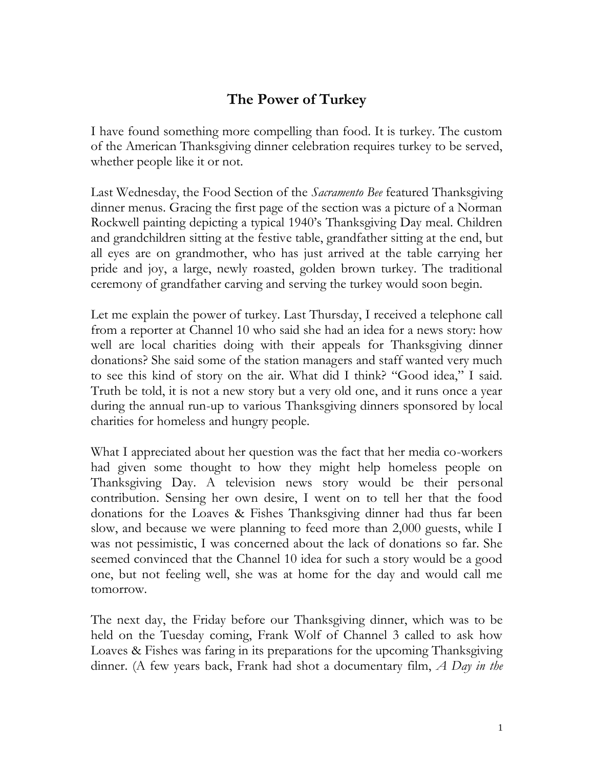## **The Power of Turkey**

I have found something more compelling than food. It is turkey. The custom of the American Thanksgiving dinner celebration requires turkey to be served, whether people like it or not.

Last Wednesday, the Food Section of the *Sacramento Bee* featured Thanksgiving dinner menus. Gracing the first page of the section was a picture of a Norman Rockwell painting depicting a typical 1940's Thanksgiving Day meal. Children and grandchildren sitting at the festive table, grandfather sitting at the end, but all eyes are on grandmother, who has just arrived at the table carrying her pride and joy, a large, newly roasted, golden brown turkey. The traditional ceremony of grandfather carving and serving the turkey would soon begin.

Let me explain the power of turkey. Last Thursday, I received a telephone call from a reporter at Channel 10 who said she had an idea for a news story: how well are local charities doing with their appeals for Thanksgiving dinner donations? She said some of the station managers and staff wanted very much to see this kind of story on the air. What did I think? "Good idea," I said. Truth be told, it is not a new story but a very old one, and it runs once a year during the annual run-up to various Thanksgiving dinners sponsored by local charities for homeless and hungry people.

What I appreciated about her question was the fact that her media co-workers had given some thought to how they might help homeless people on Thanksgiving Day. A television news story would be their personal contribution. Sensing her own desire, I went on to tell her that the food donations for the Loaves & Fishes Thanksgiving dinner had thus far been slow, and because we were planning to feed more than 2,000 guests, while I was not pessimistic, I was concerned about the lack of donations so far. She seemed convinced that the Channel 10 idea for such a story would be a good one, but not feeling well, she was at home for the day and would call me tomorrow.

The next day, the Friday before our Thanksgiving dinner, which was to be held on the Tuesday coming, Frank Wolf of Channel 3 called to ask how Loaves & Fishes was faring in its preparations for the upcoming Thanksgiving dinner. (A few years back, Frank had shot a documentary film, *A Day in the*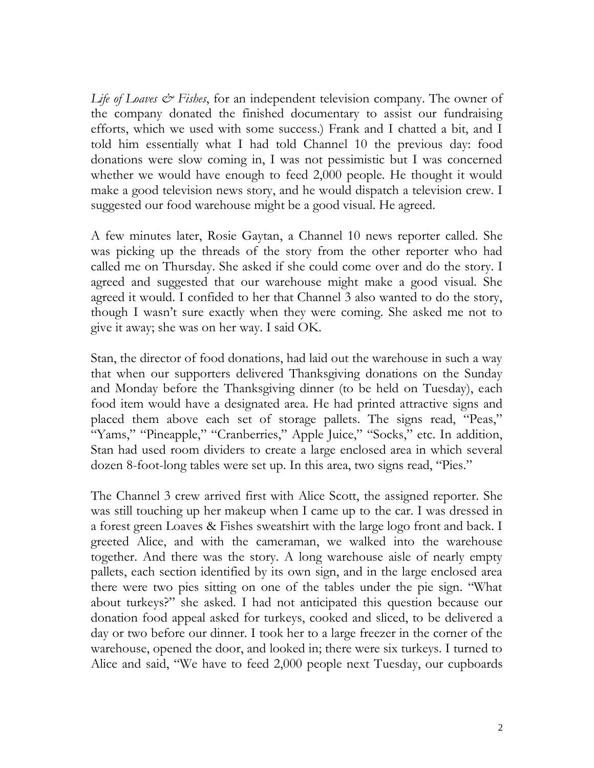*Life of Loaves & Fishes*, for an independent television company. The owner of the company donated the finished documentary to assist our fundraising efforts, which we used with some success.) Frank and I chatted a bit, and I told him essentially what I had told Channel 10 the previous day: food donations were slow coming in, I was not pessimistic but I was concerned whether we would have enough to feed 2,000 people. He thought it would make a good television news story, and he would dispatch a television crew. I suggested our food warehouse might be a good visual. He agreed.

A few minutes later, Rosie Gaytan, a Channel 10 news reporter called. She was picking up the threads of the story from the other reporter who had called me on Thursday. She asked if she could come over and do the story. I agreed and suggested that our warehouse might make a good visual. She agreed it would. I confided to her that Channel 3 also wanted to do the story, though I wasn't sure exactly when they were coming. She asked me not to give it away; she was on her way. I said OK.

Stan, the director of food donations, had laid out the warehouse in such a way that when our supporters delivered Thanksgiving donations on the Sunday and Monday before the Thanksgiving dinner (to be held on Tuesday), each food item would have a designated area. He had printed attractive signs and placed them above each set of storage pallets. The signs read, "Peas," "Yams," "Pineapple," "Cranberries," Apple Juice," "Socks," etc. In addition, Stan had used room dividers to create a large enclosed area in which several dozen 8-foot-long tables were set up. In this area, two signs read, "Pies."

The Channel 3 crew arrived first with Alice Scott, the assigned reporter. She was still touching up her makeup when I came up to the car. I was dressed in a forest green Loaves & Fishes sweatshirt with the large logo front and back. I greeted Alice, and with the cameraman, we walked into the warehouse together. And there was the story. A long warehouse aisle of nearly empty pallets, each section identified by its own sign, and in the large enclosed area there were two pies sitting on one of the tables under the pie sign. "What about turkeys?" she asked. I had not anticipated this question because our donation food appeal asked for turkeys, cooked and sliced, to be delivered a day or two before our dinner. I took her to a large freezer in the corner of the warehouse, opened the door, and looked in; there were six turkeys. I turned to Alice and said, "We have to feed 2,000 people next Tuesday, our cupboards